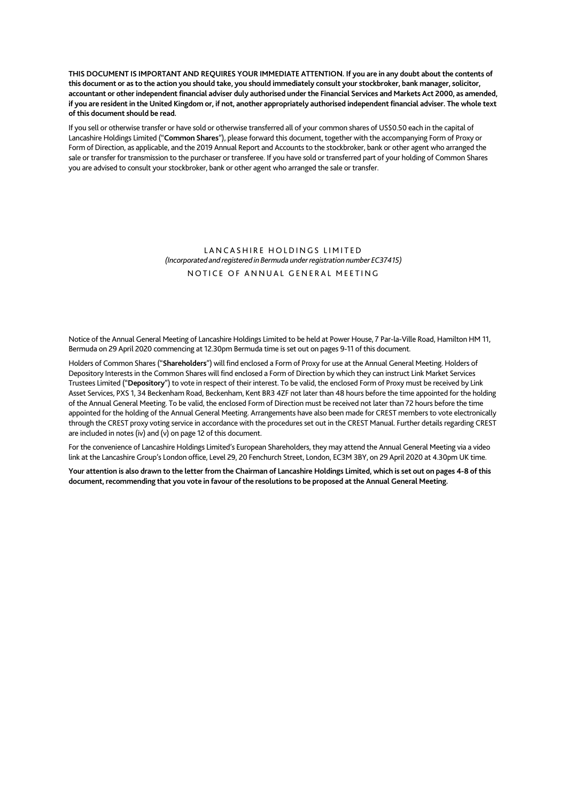**THIS DOCUMENT IS IMPORTANT AND REQUIRES YOUR IMMEDIATE ATTENTION. If you are in any doubt about the contents of this document or as to the action you should take, you should immediately consult your stockbroker, bank manager, solicitor, accountant or other independent financial adviser duly authorised under the Financial Services and Markets Act 2000, as amended, if you are resident in the United Kingdom or, if not, another appropriately authorised independent financial adviser. The whole text of this document should be read.** 

If you sell or otherwise transfer or have sold or otherwise transferred all of your common shares of US\$0.50 each in the capital of Lancashire Holdings Limited ("**Common Shares**"), please forward this document, together with the accompanying Form of Proxy or Form of Direction, as applicable, and the 2019 Annual Report and Accounts to the stockbroker, bank or other agent who arranged the sale or transfer for transmission to the purchaser or transferee. If you have sold or transferred part of your holding of Common Shares you are advised to consult your stockbroker, bank or other agent who arranged the sale or transfer.

## LANCASHIRE HOLDINGS LIMITED *(Incorporated and registered in Bermuda under registration number EC37415)*  NOTICE OF ANNUAL GENERAL MEETING

Notice of the Annual General Meeting of Lancashire Holdings Limited to be held at Power House, 7 Par-la-Ville Road, Hamilton HM 11, Bermuda on 29 April 2020 commencing at 12.30pm Bermuda time is set out on pages 9-11 of this document.

Holders of Common Shares ("**Shareholders**") will find enclosed a Form of Proxy for use at the Annual General Meeting. Holders of Depository Interests in the Common Shares will find enclosed a Form of Direction by which they can instruct Link Market Services Trustees Limited ("**Depository**") to vote in respect of their interest. To be valid, the enclosed Form of Proxy must be received by Link Asset Services, PXS 1, 34 Beckenham Road, Beckenham, Kent BR3 4ZF not later than 48 hours before the time appointed for the holding of the Annual General Meeting. To be valid, the enclosed Form of Direction must be received not later than 72 hours before the time appointed for the holding of the Annual General Meeting. Arrangements have also been made for CREST members to vote electronically through the CREST proxy voting service in accordance with the procedures set out in the CREST Manual. Further details regarding CREST are included in notes (iv) and (v) on page 12 of this document.

For the convenience of Lancashire Holdings Limited's European Shareholders, they may attend the Annual General Meeting via a video link at the Lancashire Group's London office, Level 29, 20 Fenchurch Street, London, EC3M 3BY, on 29 April 2020 at 4.30pm UK time.

**Your attention is also drawn to the letter from the Chairman of Lancashire Holdings Limited, which is set out on pages 4-8 of this document, recommending that you vote in favour of the resolutions to be proposed at the Annual General Meeting.**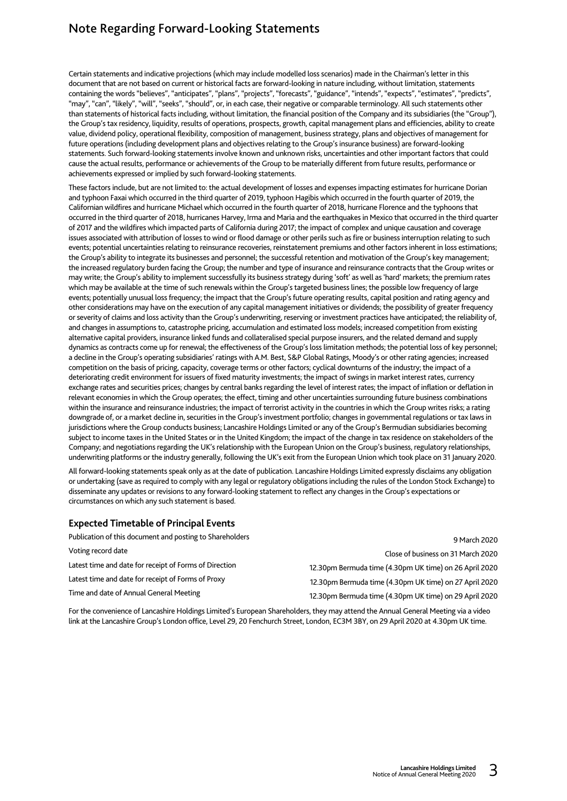# Note Regarding Forward-Looking Statements

Certain statements and indicative projections (which may include modelled loss scenarios) made in the Chairman's letter in this document that are not based on current or historical facts are forward-looking in nature including, without limitation, statements containing the words "believes", "anticipates", "plans", "projects", "forecasts", "guidance", "intends", "expects", "estimates", "predicts", "may", "can", "likely", "will", "seeks", "should", or, in each case, their negative or comparable terminology. All such statements other than statements of historical facts including, without limitation, the financial position of the Company and its subsidiaries (the "Group"), the Group's tax residency, liquidity, results of operations, prospects, growth, capital management plans and efficiencies, ability to create value, dividend policy, operational flexibility, composition of management, business strategy, plans and objectives of management for future operations (including development plans and objectives relating to the Group's insurance business) are forward-looking statements. Such forward-looking statements involve known and unknown risks, uncertainties and other important factors that could cause the actual results, performance or achievements of the Group to be materially different from future results, performance or achievements expressed or implied by such forward-looking statements.

These factors include, but are not limited to: the actual development of losses and expenses impacting estimates for hurricane Dorian and typhoon Faxai which occurred in the third quarter of 2019, typhoon Hagibis which occurred in the fourth quarter of 2019, the Californian wildfires and hurricane Michael which occurred in the fourth quarter of 2018, hurricane Florence and the typhoons that occurred in the third quarter of 2018, hurricanes Harvey, Irma and Maria and the earthquakes in Mexico that occurred in the third quarter of 2017 and the wildfires which impacted parts of California during 2017; the impact of complex and unique causation and coverage issues associated with attribution of losses to wind or flood damage or other perils such as fire or business interruption relating to such events; potential uncertainties relating to reinsurance recoveries, reinstatement premiums and other factors inherent in loss estimations; the Group's ability to integrate its businesses and personnel; the successful retention and motivation of the Group's key management; the increased regulatory burden facing the Group; the number and type of insurance and reinsurance contracts that the Group writes or may write; the Group's ability to implement successfully its business strategy during 'soft' as well as 'hard' markets; the premium rates which may be available at the time of such renewals within the Group's targeted business lines; the possible low frequency of large events; potentially unusual loss frequency; the impact that the Group's future operating results, capital position and rating agency and other considerations may have on the execution of any capital management initiatives or dividends; the possibility of greater frequency or severity of claims and loss activity than the Group's underwriting, reserving or investment practices have anticipated; the reliability of, and changes in assumptions to, catastrophe pricing, accumulation and estimated loss models; increased competition from existing alternative capital providers, insurance linked funds and collateralised special purpose insurers, and the related demand and supply dynamics as contracts come up for renewal; the effectiveness of the Group's loss limitation methods; the potential loss of key personnel; a decline in the Group's operating subsidiaries' ratings with A.M. Best, S&P Global Ratings, Moody's or other rating agencies; increased competition on the basis of pricing, capacity, coverage terms or other factors; cyclical downturns of the industry; the impact of a deteriorating credit environment for issuers of fixed maturity investments; the impact of swings in market interest rates, currency exchange rates and securities prices; changes by central banks regarding the level of interest rates; the impact of inflation or deflation in relevant economies in which the Group operates; the effect, timing and other uncertainties surrounding future business combinations within the insurance and reinsurance industries; the impact of terrorist activity in the countries in which the Group writes risks; a rating downgrade of, or a market decline in, securities in the Group's investment portfolio; changes in governmental regulations or tax laws in jurisdictions where the Group conducts business; Lancashire Holdings Limited or any of the Group's Bermudian subsidiaries becoming subject to income taxes in the United States or in the United Kingdom; the impact of the change in tax residence on stakeholders of the Company; and negotiations regarding the UK's relationship with the European Union on the Group's business, regulatory relationships, underwriting platforms or the industry generally, following the UK's exit from the European Union which took place on 31 January 2020.

All forward-looking statements speak only as at the date of publication. Lancashire Holdings Limited expressly disclaims any obligation or undertaking (save as required to comply with any legal or regulatory obligations including the rules of the London Stock Exchange) to disseminate any updates or revisions to any forward-looking statement to reflect any changes in the Group's expectations or circumstances on which any such statement is based.

# **Expected Timetable of Principal Events**

| Publication of this document and posting to Shareholders | 9 March 2020                                           |
|----------------------------------------------------------|--------------------------------------------------------|
| Voting record date                                       | Close of business on 31 March 2020                     |
| Latest time and date for receipt of Forms of Direction   | 12.30pm Bermuda time (4.30pm UK time) on 26 April 2020 |
| Latest time and date for receipt of Forms of Proxy       | 12.30pm Bermuda time (4.30pm UK time) on 27 April 2020 |
| Time and date of Annual General Meeting                  | 12.30pm Bermuda time (4.30pm UK time) on 29 April 2020 |

For the convenience of Lancashire Holdings Limited's European Shareholders, they may attend the Annual General Meeting via a video link at the Lancashire Group's London office, Level 29, 20 Fenchurch Street, London, EC3M 3BY, on 29 April 2020 at 4.30pm UK time.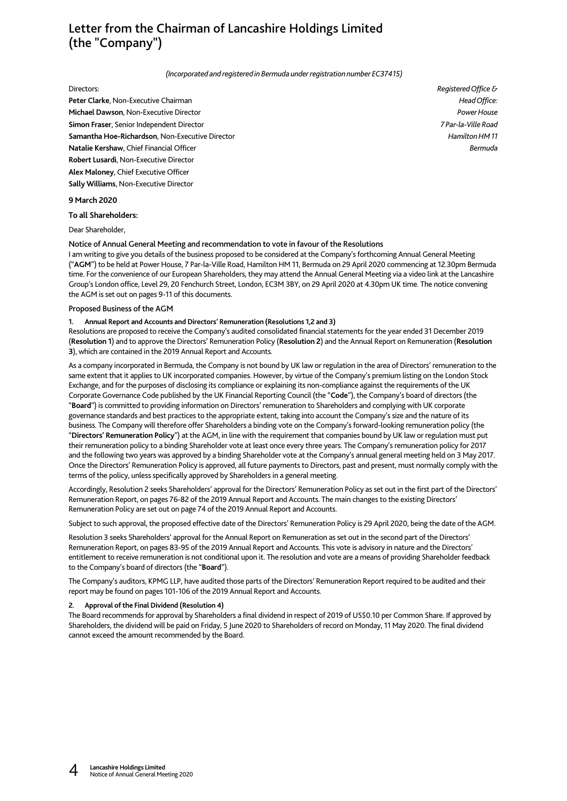# Letter from the Chairman of Lancashire Holdings Limited (the "Company")

#### *(Incorporated and registered in Bermuda under registration number EC37415)*

**Peter Clarke**, Non-Executive Chairman *Head Office:* **Michael Dawson**, Non-Executive Director *Power House* **Simon Fraser**, Senior Independent Director *7 Par-la-Ville Road* **Samantha Hoe-Richardson**, Non-Executive Director *Hamilton HM 11* **Natalie Kershaw**, Chief Financial Officer *Bermuda* **Robert Lusardi**, Non-Executive Director **Alex Maloney**, Chief Executive Officer **Sally Williams**, Non-Executive Director

## **9 March 2020**

**To all Shareholders:** 

Dear Shareholder,

#### Notice of Annual General Meeting and recommendation to vote in favour of the Resolutions

I am writing to give you details of the business proposed to be considered at the Company's forthcoming Annual General Meeting ("**AGM**") to be held at Power House, 7 Par-la-Ville Road, Hamilton HM 11, Bermuda on 29 April 2020 commencing at 12.30pm Bermuda time. For the convenience of our European Shareholders, they may attend the Annual General Meeting via a video link at the Lancashire Group's London office, Level 29, 20 Fenchurch Street, London, EC3M 3BY, on 29 April 2020 at 4.30pm UK time. The notice convening the AGM is set out on pages 9-11 of this documents.

#### Proposed Business of the AGM

#### **1. Annual Report and Accounts and Directors' Remuneration (Resolutions 1,2 and 3)**

Resolutions are proposed to receive the Company's audited consolidated financial statements for the year ended 31 December 2019 (**Resolution 1**) and to approve the Directors' Remuneration Policy (**Resolution 2**) and the Annual Report on Remuneration (**Resolution 3**), which are contained in the 2019 Annual Report and Accounts.

As a company incorporated in Bermuda, the Company is not bound by UK law or regulation in the area of Directors' remuneration to the same extent that it applies to UK incorporated companies. However, by virtue of the Company's premium listing on the London Stock Exchange, and for the purposes of disclosing its compliance or explaining its non-compliance against the requirements of the UK Corporate Governance Code published by the UK Financial Reporting Council (the "**Code**"), the Company's board of directors (the "**Board**") is committed to providing information on Directors' remuneration to Shareholders and complying with UK corporate governance standards and best practices to the appropriate extent, taking into account the Company's size and the nature of its business. The Company will therefore offer Shareholders a binding vote on the Company's forward-looking remuneration policy (the "**Directors' Remuneration Policy**") at the AGM, in line with the requirement that companies bound by UK law or regulation must put their remuneration policy to a binding Shareholder vote at least once every three years. The Company's remuneration policy for 2017 and the following two years was approved by a binding Shareholder vote at the Company's annual general meeting held on 3 May 2017. Once the Directors' Remuneration Policy is approved, all future payments to Directors, past and present, must normally comply with the terms of the policy, unless specifically approved by Shareholders in a general meeting.

Accordingly, Resolution 2 seeks Shareholders' approval for the Directors' Remuneration Policy as set out in the first part of the Directors' Remuneration Report, on pages 76-82 of the 2019 Annual Report and Accounts. The main changes to the existing Directors' Remuneration Policy are set out on page 74 of the 2019 Annual Report and Accounts.

Subject to such approval, the proposed effective date of the Directors' Remuneration Policy is 29 April 2020, being the date of the AGM.

Resolution 3 seeks Shareholders' approval for the Annual Report on Remuneration as set out in the second part of the Directors' Remuneration Report, on pages 83-95 of the 2019 Annual Report and Accounts. This vote is advisory in nature and the Directors' entitlement to receive remuneration is not conditional upon it. The resolution and vote are a means of providing Shareholder feedback to the Company's board of directors (the "**Board**").

The Company's auditors, KPMG LLP, have audited those parts of the Directors' Remuneration Report required to be audited and their report may be found on pages 101-106 of the 2019 Annual Report and Accounts.

#### **2. Approval of the Final Dividend (Resolution 4)**

The Board recommends for approval by Shareholders a final dividend in respect of 2019 of US\$0.10 per Common Share. If approved by Shareholders, the dividend will be paid on Friday, 5 June 2020 to Shareholders of record on Monday, 11 May 2020. The final dividend cannot exceed the amount recommended by the Board.

Directors: *Registered Office &*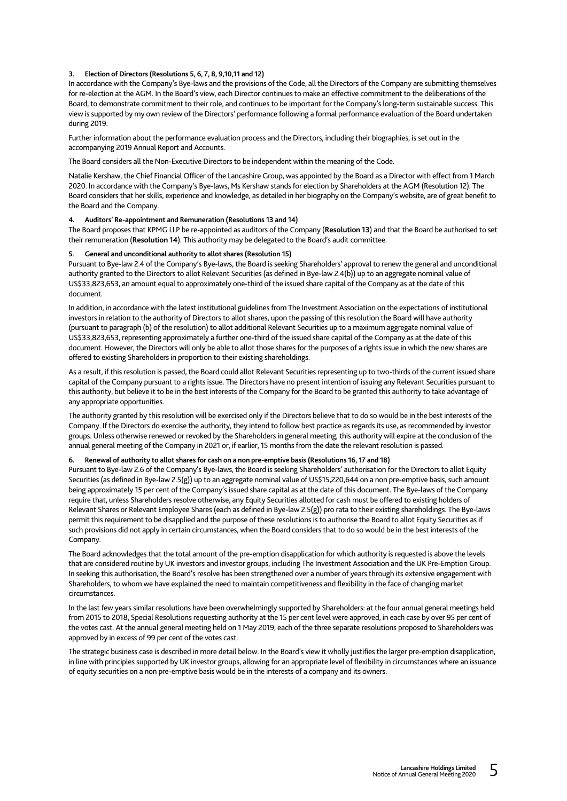#### **3. Election of Directors (Resolutions 5, 6, 7, 8, 9,10,11 and 12)**

In accordance with the Company's Bye-laws and the provisions of the Code, all the Directors of the Company are submitting themselves for re-election at the AGM. In the Board's view, each Director continues to make an effective commitment to the deliberations of the Board, to demonstrate commitment to their role, and continues to be important for the Company's long-term sustainable success. This view is supported by my own review of the Directors' performance following a formal performance evaluation of the Board undertaken during 2019.

Further information about the performance evaluation process and the Directors, including their biographies, is set out in the accompanying 2019 Annual Report and Accounts.

The Board considers all the Non-Executive Directors to be independent within the meaning of the Code.

Natalie Kershaw, the Chief Financial Officer of the Lancashire Group, was appointed by the Board as a Director with effect from 1 March 2020. In accordance with the Company's Bye-laws, Ms Kershaw stands for election by Shareholders at the AGM (Resolution 12). The Board considers that her skills, experience and knowledge, as detailed in her biography on the Company's website, are of great benefit to the Board and the Company.

#### **4. Auditors' Re-appointment and Remuneration (Resolutions 13 and 14)**

The Board proposes that KPMG LLP be re-appointed as auditors of the Company (**Resolution 13**) and that the Board be authorised to set their remuneration (**Resolution 14**). This authority may be delegated to the Board's audit committee.

### **5. General and unconditional authority to allot shares (Resolution 15)**

Pursuant to Bye-law 2.4 of the Company's Bye-laws, the Board is seeking Shareholders' approval to renew the general and unconditional authority granted to the Directors to allot Relevant Securities (as defined in Bye-law 2.4(b)) up to an aggregate nominal value of US\$33,823,653, an amount equal to approximately one-third of the issued share capital of the Company as at the date of this document.

In addition, in accordance with the latest institutional guidelines from The Investment Association on the expectations of institutional investors in relation to the authority of Directors to allot shares, upon the passing of this resolution the Board will have authority (pursuant to paragraph (b) of the resolution) to allot additional Relevant Securities up to a maximum aggregate nominal value of US\$33,823,653, representing approximately a further one-third of the issued share capital of the Company as at the date of this document. However, the Directors will only be able to allot those shares for the purposes of a rights issue in which the new shares are offered to existing Shareholders in proportion to their existing shareholdings.

As a result, if this resolution is passed, the Board could allot Relevant Securities representing up to two-thirds of the current issued share capital of the Company pursuant to a rights issue. The Directors have no present intention of issuing any Relevant Securities pursuant to this authority, but believe it to be in the best interests of the Company for the Board to be granted this authority to take advantage of any appropriate opportunities.

The authority granted by this resolution will be exercised only if the Directors believe that to do so would be in the best interests of the Company. If the Directors do exercise the authority, they intend to follow best practice as regards its use, as recommended by investor groups. Unless otherwise renewed or revoked by the Shareholders in general meeting, this authority will expire at the conclusion of the annual general meeting of the Company in 2021 or, if earlier, 15 months from the date the relevant resolution is passed.

#### **6. Renewal of authority to allot shares for cash on a non pre-emptive basis (Resolutions 16, 17 and 18)**

Pursuant to Bye-law 2.6 of the Company's Bye-laws, the Board is seeking Shareholders' authorisation for the Directors to allot Equity Securities (as defined in Bye-law 2.5(g)) up to an aggregate nominal value of US\$15,220,644 on a non pre-emptive basis, such amount being approximately 15 per cent of the Company's issued share capital as at the date of this document. The Bye-laws of the Company require that, unless Shareholders resolve otherwise, any Equity Securities allotted for cash must be offered to existing holders of Relevant Shares or Relevant Employee Shares (each as defined in Bye-law 2.5(g)) pro rata to their existing shareholdings. The Bye-laws permit this requirement to be disapplied and the purpose of these resolutions is to authorise the Board to allot Equity Securities as if such provisions did not apply in certain circumstances, when the Board considers that to do so would be in the best interests of the Company.

The Board acknowledges that the total amount of the pre-emption disapplication for which authority is requested is above the levels that are considered routine by UK investors and investor groups, including The Investment Association and the UK Pre-Emption Group. In seeking this authorisation, the Board's resolve has been strengthened over a number of years through its extensive engagement with Shareholders, to whom we have explained the need to maintain competitiveness and flexibility in the face of changing market circumstances.

In the last few years similar resolutions have been overwhelmingly supported by Shareholders: at the four annual general meetings held from 2015 to 2018, Special Resolutions requesting authority at the 15 per cent level were approved, in each case by over 95 per cent of the votes cast. At the annual general meeting held on 1 May 2019, each of the three separate resolutions proposed to Shareholders was approved by in excess of 99 per cent of the votes cast.

The strategic business case is described in more detail below. In the Board's view it wholly justifies the larger pre-emption disapplication, in line with principles supported by UK investor groups, allowing for an appropriate level of flexibility in circumstances where an issuance of equity securities on a non pre-emptive basis would be in the interests of a company and its owners.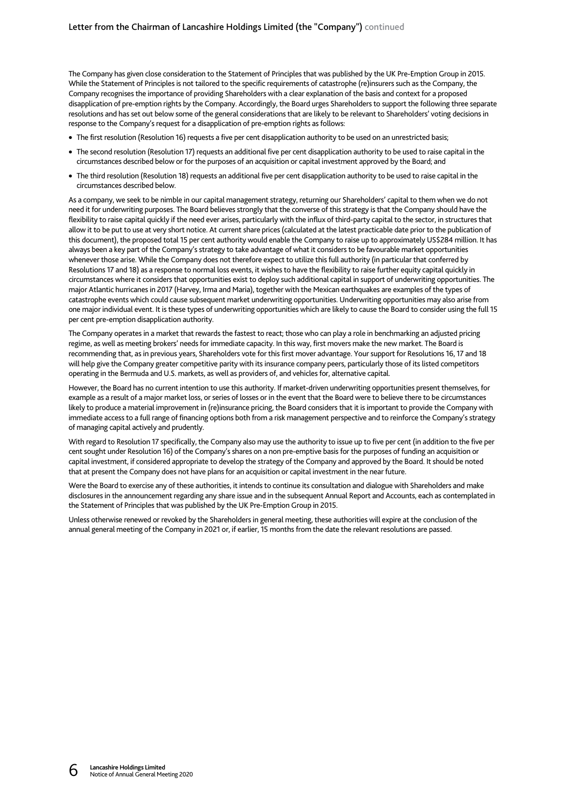The Company has given close consideration to the Statement of Principles that was published by the UK Pre-Emption Group in 2015. While the Statement of Principles is not tailored to the specific requirements of catastrophe (re)insurers such as the Company, the Company recognises the importance of providing Shareholders with a clear explanation of the basis and context for a proposed disapplication of pre-emption rights by the Company. Accordingly, the Board urges Shareholders to support the following three separate resolutions and has set out below some of the general considerations that are likely to be relevant to Shareholders' voting decisions in response to the Company's request for a disapplication of pre-emption rights as follows:

- The first resolution (Resolution 16) requests a five per cent disapplication authority to be used on an unrestricted basis;
- The second resolution (Resolution 17) requests an additional five per cent disapplication authority to be used to raise capital in the circumstances described below or for the purposes of an acquisition or capital investment approved by the Board; and
- The third resolution (Resolution 18) requests an additional five per cent disapplication authority to be used to raise capital in the circumstances described below.

As a company, we seek to be nimble in our capital management strategy, returning our Shareholders' capital to them when we do not need it for underwriting purposes. The Board believes strongly that the converse of this strategy is that the Company should have the flexibility to raise capital quickly if the need ever arises, particularly with the influx of third-party capital to the sector, in structures that allow it to be put to use at very short notice. At current share prices (calculated at the latest practicable date prior to the publication of this document), the proposed total 15 per cent authority would enable the Company to raise up to approximately US\$284 million. It has always been a key part of the Company's strategy to take advantage of what it considers to be favourable market opportunities whenever those arise. While the Company does not therefore expect to utilize this full authority (in particular that conferred by Resolutions 17 and 18) as a response to normal loss events, it wishes to have the flexibility to raise further equity capital quickly in circumstances where it considers that opportunities exist to deploy such additional capital in support of underwriting opportunities. The major Atlantic hurricanes in 2017 (Harvey, Irma and Maria), together with the Mexican earthquakes are examples of the types of catastrophe events which could cause subsequent market underwriting opportunities. Underwriting opportunities may also arise from one major individual event. It is these types of underwriting opportunities which are likely to cause the Board to consider using the full 15 per cent pre-emption disapplication authority.

The Company operates in a market that rewards the fastest to react; those who can play a role in benchmarking an adjusted pricing regime, as well as meeting brokers' needs for immediate capacity. In this way, first movers make the new market. The Board is recommending that, as in previous years, Shareholders vote for this first mover advantage. Your support for Resolutions 16, 17 and 18 will help give the Company greater competitive parity with its insurance company peers, particularly those of its listed competitors operating in the Bermuda and U.S. markets, as well as providers of, and vehicles for, alternative capital.

However, the Board has no current intention to use this authority. If market-driven underwriting opportunities present themselves, for example as a result of a major market loss, or series of losses or in the event that the Board were to believe there to be circumstances likely to produce a material improvement in (re)insurance pricing, the Board considers that it is important to provide the Company with immediate access to a full range of financing options both from a risk management perspective and to reinforce the Company's strategy of managing capital actively and prudently.

With regard to Resolution 17 specifically, the Company also may use the authority to issue up to five per cent (in addition to the five per cent sought under Resolution 16) of the Company's shares on a non pre-emptive basis for the purposes of funding an acquisition or capital investment, if considered appropriate to develop the strategy of the Company and approved by the Board. It should be noted that at present the Company does not have plans for an acquisition or capital investment in the near future.

Were the Board to exercise any of these authorities, it intends to continue its consultation and dialogue with Shareholders and make disclosures in the announcement regarding any share issue and in the subsequent Annual Report and Accounts, each as contemplated in the Statement of Principles that was published by the UK Pre-Emption Group in 2015.

Unless otherwise renewed or revoked by the Shareholders in general meeting, these authorities will expire at the conclusion of the annual general meeting of the Company in 2021 or, if earlier, 15 months from the date the relevant resolutions are passed.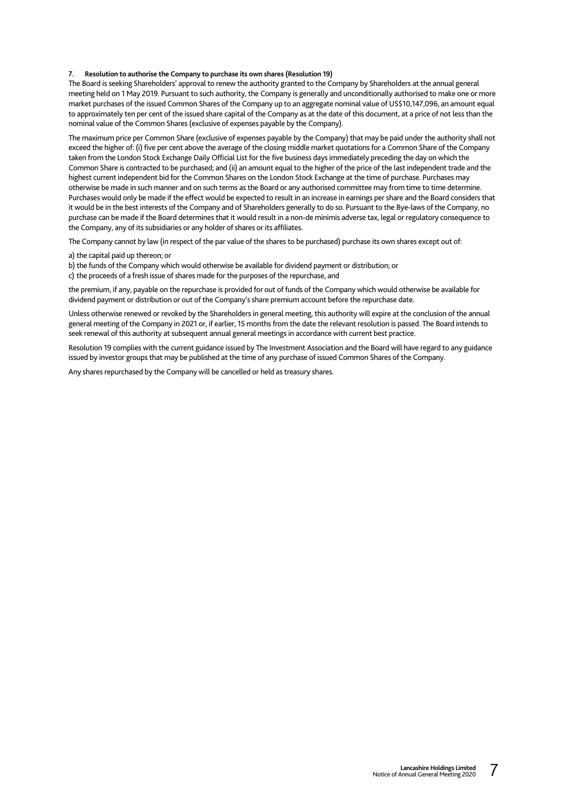#### **7. Resolution to authorise the Company to purchase its own shares (Resolution 19)**

The Board is seeking Shareholders' approval to renew the authority granted to the Company by Shareholders at the annual general meeting held on 1 May 2019. Pursuant to such authority, the Company is generally and unconditionally authorised to make one or more market purchases of the issued Common Shares of the Company up to an aggregate nominal value of US\$10,147,096, an amount equal to approximately ten per cent of the issued share capital of the Company as at the date of this document, at a price of not less than the nominal value of the Common Shares (exclusive of expenses payable by the Company).

The maximum price per Common Share (exclusive of expenses payable by the Company) that may be paid under the authority shall not exceed the higher of: (i) five per cent above the average of the closing middle market quotations for a Common Share of the Company taken from the London Stock Exchange Daily Official List for the five business days immediately preceding the day on which the Common Share is contracted to be purchased; and (ii) an amount equal to the higher of the price of the last independent trade and the highest current independent bid for the Common Shares on the London Stock Exchange at the time of purchase. Purchases may otherwise be made in such manner and on such terms as the Board or any authorised committee may from time to time determine. Purchases would only be made if the effect would be expected to result in an increase in earnings per share and the Board considers that it would be in the best interests of the Company and of Shareholders generally to do so. Pursuant to the Bye-laws of the Company, no purchase can be made if the Board determines that it would result in a non-de minimis adverse tax, legal or regulatory consequence to the Company, any of its subsidiaries or any holder of shares or its affiliates.

The Company cannot by law (in respect of the par value of the shares to be purchased) purchase its own shares except out of:

a) the capital paid up thereon; or

b) the funds of the Company which would otherwise be available for dividend payment or distribution; or

c) the proceeds of a fresh issue of shares made for the purposes of the repurchase, and

the premium, if any, payable on the repurchase is provided for out of funds of the Company which would otherwise be available for dividend payment or distribution or out of the Company's share premium account before the repurchase date.

Unless otherwise renewed or revoked by the Shareholders in general meeting, this authority will expire at the conclusion of the annual general meeting of the Company in 2021 or, if earlier, 15 months from the date the relevant resolution is passed. The Board intends to seek renewal of this authority at subsequent annual general meetings in accordance with current best practice.

Resolution 19 complies with the current guidance issued by The Investment Association and the Board will have regard to any guidance issued by investor groups that may be published at the time of any purchase of issued Common Shares of the Company.

Any shares repurchased by the Company will be cancelled or held as treasury shares.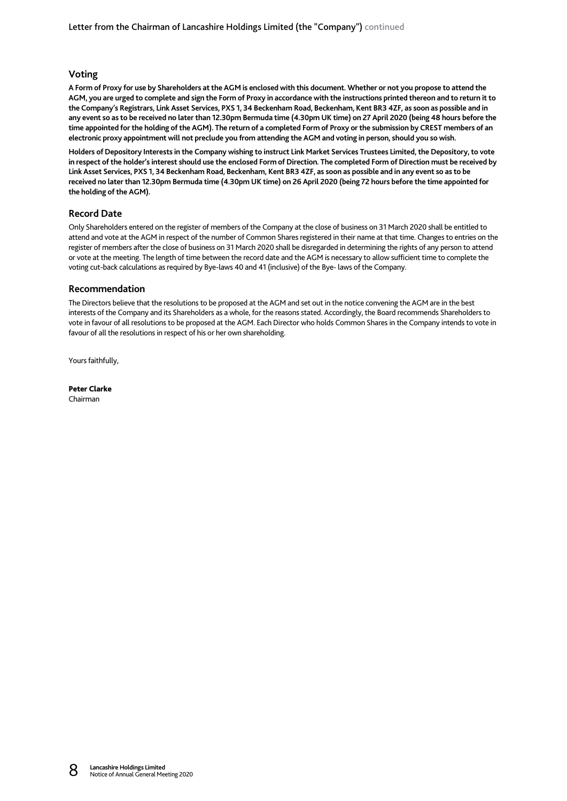# **Voting**

**A Form of Proxy for use by Shareholders at the AGM is enclosed with this document. Whether or not you propose to attend the AGM, you are urged to complete and sign the Form of Proxy in accordance with the instructions printed thereon and to return it to the Company's Registrars, Link Asset Services, PXS 1, 34 Beckenham Road, Beckenham, Kent BR3 4ZF, as soon as possible and in any event so as to be received no later than 12.30pm Bermuda time (4.30pm UK time) on 27 April 2020 (being 48 hours before the time appointed for the holding of the AGM). The return of a completed Form of Proxy or the submission by CREST members of an electronic proxy appointment will not preclude you from attending the AGM and voting in person, should you so wish.** 

**Holders of Depository Interests in the Company wishing to instruct Link Market Services Trustees Limited, the Depository, to vote in respect of the holder's interest should use the enclosed Form of Direction. The completed Form of Direction must be received by Link Asset Services, PXS 1, 34 Beckenham Road, Beckenham, Kent BR3 4ZF, as soon as possible and in any event so as to be received no later than 12.30pm Bermuda time (4.30pm UK time) on 26 April 2020 (being 72 hours before the time appointed for the holding of the AGM).** 

# **Record Date**

Only Shareholders entered on the register of members of the Company at the close of business on 31 March 2020 shall be entitled to attend and vote at the AGM in respect of the number of Common Shares registered in their name at that time. Changes to entries on the register of members after the close of business on 31 March 2020 shall be disregarded in determining the rights of any person to attend or vote at the meeting. The length of time between the record date and the AGM is necessary to allow sufficient time to complete the voting cut-back calculations as required by Bye-laws 40 and 41 (inclusive) of the Bye- laws of the Company.

# **Recommendation**

The Directors believe that the resolutions to be proposed at the AGM and set out in the notice convening the AGM are in the best interests of the Company and its Shareholders as a whole, for the reasons stated. Accordingly, the Board recommends Shareholders to vote in favour of all resolutions to be proposed at the AGM. Each Director who holds Common Shares in the Company intends to vote in favour of all the resolutions in respect of his or her own shareholding.

Yours faithfully,

Peter Clarke Chairman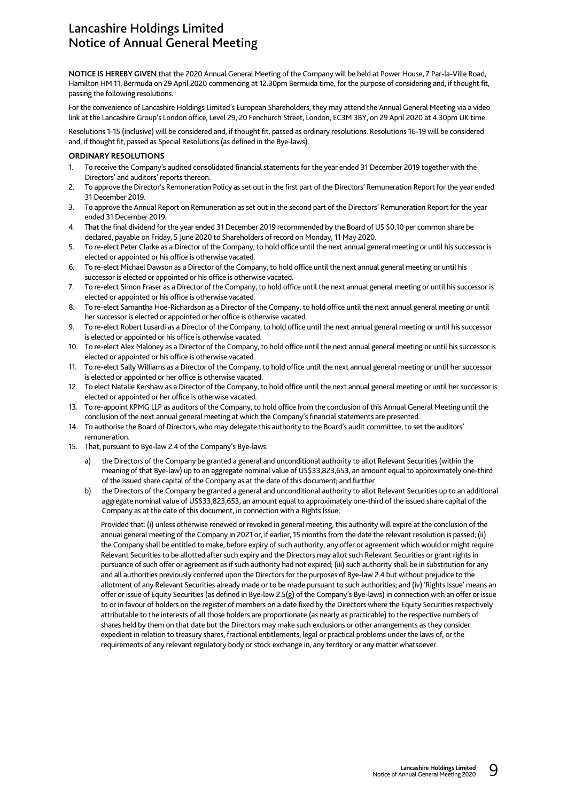# Lancashire Holdings Limited Notice of Annual General Meeting

**NOTICE IS HEREBY GIVEN** that the 2020 Annual General Meeting of the Company will be held at Power House, 7 Par-la-Ville Road, Hamilton HM 11, Bermuda on 29 April 2020 commencing at 12.30pm Bermuda time, for the purpose of considering and, if thought fit, passing the following resolutions.

For the convenience of Lancashire Holdings Limited's European Shareholders, they may attend the Annual General Meeting via a video link at the Lancashire Group's London office, Level 29, 20 Fenchurch Street, London, EC3M 3BY, on 29 April 2020 at 4.30pm UK time.

Resolutions 1-15 (inclusive) will be considered and, if thought fit, passed as ordinary resolutions. Resolutions 16-19 will be considered and, if thought fit, passed as Special Resolutions (as defined in the Bye-laws).

### **ORDINARY RESOLUTIONS**

- 1. To receive the Company's audited consolidated financial statements for the year ended 31 December 2019 together with the Directors' and auditors' reports thereon.
- 2. To approve the Director's Remuneration Policy as set out in the first part of the Directors' Remuneration Report for the year ended 31 December 2019.
- 3. To approve the Annual Report on Remuneration as set out in the second part of the Directors' Remuneration Report for the year ended 31 December 2019.
- 4. That the final dividend for the year ended 31 December 2019 recommended by the Board of US \$0.10 per common share be declared, payable on Friday, 5 June 2020 to Shareholders of record on Monday, 11 May 2020.
- 5. To re-elect Peter Clarke as a Director of the Company, to hold office until the next annual general meeting or until his successor is elected or appointed or his office is otherwise vacated.
- 6. To re-elect Michael Dawson as a Director of the Company, to hold office until the next annual general meeting or until his successor is elected or appointed or his office is otherwise vacated.
- 7. To re-elect Simon Fraser as a Director of the Company, to hold office until the next annual general meeting or until his successor is elected or appointed or his office is otherwise vacated.
- 8. To re-elect Samantha Hoe-Richardson as a Director of the Company, to hold office until the next annual general meeting or until her successor is elected or appointed or her office is otherwise vacated.
- 9. To re-elect Robert Lusardi as a Director of the Company, to hold office until the next annual general meeting or until his successor is elected or appointed or his office is otherwise vacated.
- 10. To re-elect Alex Maloney as a Director of the Company, to hold office until the next annual general meeting or until his successor is elected or appointed or his office is otherwise vacated.
- 11. To re-elect Sally Williams as a Director of the Company, to hold office until the next annual general meeting or until her successor is elected or appointed or her office is otherwise vacated.
- 12. To elect Natalie Kershaw as a Director of the Company, to hold office until the next annual general meeting or until her successor is elected or appointed or her office is otherwise vacated.
- 13. To re-appoint KPMG LLP as auditors of the Company, to hold office from the conclusion of this Annual General Meeting until the conclusion of the next annual general meeting at which the Company's financial statements are presented.
- 14. To authorise the Board of Directors, who may delegate this authority to the Board's audit committee, to set the auditors' remuneration.
- 15. That, pursuant to Bye-law 2.4 of the Company's Bye-laws:
	- a) the Directors of the Company be granted a general and unconditional authority to allot Relevant Securities (within the meaning of that Bye-law) up to an aggregate nominal value of US\$33,823,653, an amount equal to approximately one-third of the issued share capital of the Company as at the date of this document; and further
	- b) the Directors of the Company be granted a general and unconditional authority to allot Relevant Securities up to an additional aggregate nominal value of US\$33,823,653, an amount equal to approximately one-third of the issued share capital of the Company as at the date of this document, in connection with a Rights Issue,

Provided that: (i) unless otherwise renewed or revoked in general meeting, this authority will expire at the conclusion of the annual general meeting of the Company in 2021 or, if earlier, 15 months from the date the relevant resolution is passed; (ii) the Company shall be entitled to make, before expiry of such authority, any offer or agreement which would or might require Relevant Securities to be allotted after such expiry and the Directors may allot such Relevant Securities or grant rights in pursuance of such offer or agreement as if such authority had not expired; (iii) such authority shall be in substitution for any and all authorities previously conferred upon the Directors for the purposes of Bye-law 2.4 but without prejudice to the allotment of any Relevant Securities already made or to be made pursuant to such authorities; and (iv) 'Rights Issue' means an offer or issue of Equity Securities (as defined in Bye-law 2.5(g) of the Company's Bye-laws) in connection with an offer or issue to or in favour of holders on the register of members on a date fixed by the Directors where the Equity Securities respectively attributable to the interests of all those holders are proportionate (as nearly as practicable) to the respective numbers of shares held by them on that date but the Directors may make such exclusions or other arrangements as they consider expedient in relation to treasury shares, fractional entitlements, legal or practical problems under the laws of, or the requirements of any relevant regulatory body or stock exchange in, any territory or any matter whatsoever.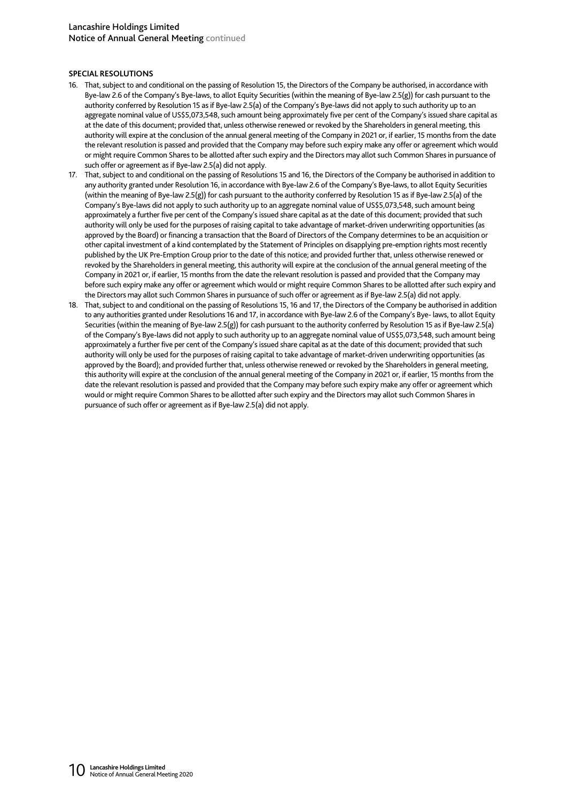# **SPECIAL RESOLUTIONS**

- 16. That, subject to and conditional on the passing of Resolution 15, the Directors of the Company be authorised, in accordance with Bye-law 2.6 of the Company's Bye-laws, to allot Equity Securities (within the meaning of Bye-law 2.5(g)) for cash pursuant to the authority conferred by Resolution 15 as if Bye-law 2.5(a) of the Company's Bye-laws did not apply to such authority up to an aggregate nominal value of US\$5,073,548, such amount being approximately five per cent of the Company's issued share capital as at the date of this document; provided that, unless otherwise renewed or revoked by the Shareholders in general meeting, this authority will expire at the conclusion of the annual general meeting of the Company in 2021 or, if earlier, 15 months from the date the relevant resolution is passed and provided that the Company may before such expiry make any offer or agreement which would or might require Common Shares to be allotted after such expiry and the Directors may allot such Common Shares in pursuance of such offer or agreement as if Bye-law 2.5(a) did not apply.
- 17. That, subject to and conditional on the passing of Resolutions 15 and 16, the Directors of the Company be authorised in addition to any authority granted under Resolution 16, in accordance with Bye-law 2.6 of the Company's Bye-laws, to allot Equity Securities (within the meaning of Bye-law 2.5(g)) for cash pursuant to the authority conferred by Resolution 15 as if Bye-law 2.5(a) of the Company's Bye-laws did not apply to such authority up to an aggregate nominal value of US\$5,073,548, such amount being approximately a further five per cent of the Company's issued share capital as at the date of this document; provided that such authority will only be used for the purposes of raising capital to take advantage of market-driven underwriting opportunities (as approved by the Board) or financing a transaction that the Board of Directors of the Company determines to be an acquisition or other capital investment of a kind contemplated by the Statement of Principles on disapplying pre-emption rights most recently published by the UK Pre-Emption Group prior to the date of this notice; and provided further that, unless otherwise renewed or revoked by the Shareholders in general meeting, this authority will expire at the conclusion of the annual general meeting of the Company in 2021 or, if earlier, 15 months from the date the relevant resolution is passed and provided that the Company may before such expiry make any offer or agreement which would or might require Common Shares to be allotted after such expiry and the Directors may allot such Common Shares in pursuance of such offer or agreement as if Bye-law 2.5(a) did not apply.
- 18. That, subject to and conditional on the passing of Resolutions 15, 16 and 17, the Directors of the Company be authorised in addition to any authorities granted under Resolutions 16 and 17, in accordance with Bye-law 2.6 of the Company's Bye- laws, to allot Equity Securities (within the meaning of Bye-law 2.5(g)) for cash pursuant to the authority conferred by Resolution 15 as if Bye-law 2.5(a) of the Company's Bye-laws did not apply to such authority up to an aggregate nominal value of US\$5,073,548, such amount being approximately a further five per cent of the Company's issued share capital as at the date of this document; provided that such authority will only be used for the purposes of raising capital to take advantage of market-driven underwriting opportunities (as approved by the Board); and provided further that, unless otherwise renewed or revoked by the Shareholders in general meeting, this authority will expire at the conclusion of the annual general meeting of the Company in 2021 or, if earlier, 15 months from the date the relevant resolution is passed and provided that the Company may before such expiry make any offer or agreement which would or might require Common Shares to be allotted after such expiry and the Directors may allot such Common Shares in pursuance of such offer or agreement as if Bye-law 2.5(a) did not apply.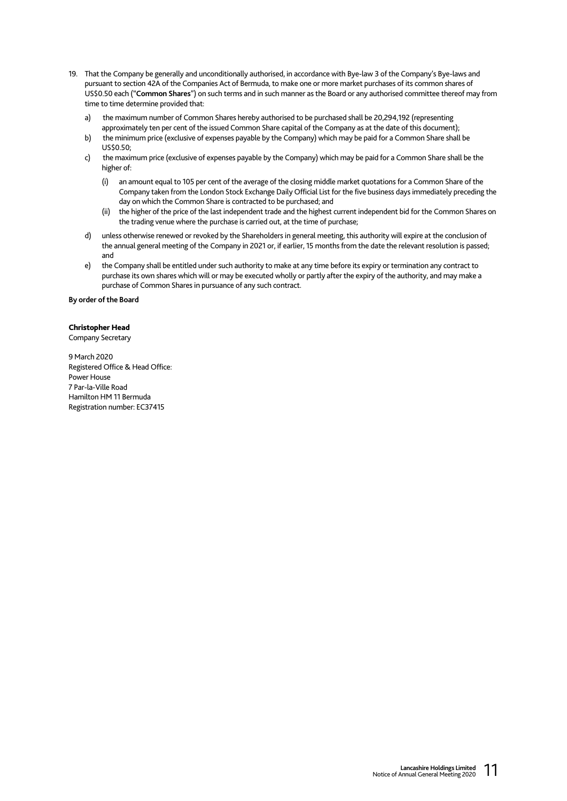- 19. That the Company be generally and unconditionally authorised, in accordance with Bye-law 3 of the Company's Bye-laws and pursuant to section 42A of the Companies Act of Bermuda, to make one or more market purchases of its common shares of US\$0.50 each ("**Common Shares**") on such terms and in such manner as the Board or any authorised committee thereof may from time to time determine provided that:
	- a) the maximum number of Common Shares hereby authorised to be purchased shall be 20,294,192 (representing approximately ten per cent of the issued Common Share capital of the Company as at the date of this document);
	- b) the minimum price (exclusive of expenses payable by the Company) which may be paid for a Common Share shall be  $U$ S\$0.50 $\cdot$
	- c) the maximum price (exclusive of expenses payable by the Company) which may be paid for a Common Share shall be the higher of:
		- (i) an amount equal to 105 per cent of the average of the closing middle market quotations for a Common Share of the Company taken from the London Stock Exchange Daily Official List for the five business days immediately preceding the day on which the Common Share is contracted to be purchased; and
		- (ii) the higher of the price of the last independent trade and the highest current independent bid for the Common Shares on the trading venue where the purchase is carried out, at the time of purchase;
	- d) unless otherwise renewed or revoked by the Shareholders in general meeting, this authority will expire at the conclusion of the annual general meeting of the Company in 2021 or, if earlier, 15 months from the date the relevant resolution is passed; and
	- e) the Company shall be entitled under such authority to make at any time before its expiry or termination any contract to purchase its own shares which will or may be executed wholly or partly after the expiry of the authority, and may make a purchase of Common Shares in pursuance of any such contract.

**By order of the Board** 

# Christopher Head

Company Secretary

9 March 2020 Registered Office & Head Office: Power House 7 Par-la-Ville Road Hamilton HM 11 Bermuda Registration number: EC37415